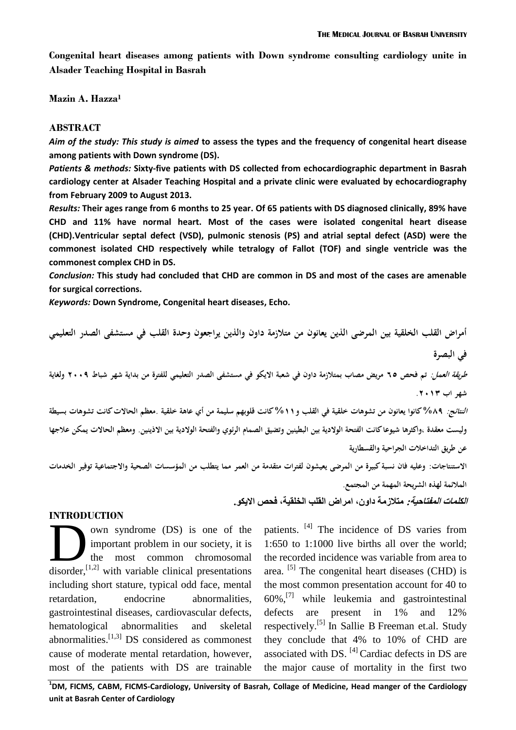**Congenital heart diseases among patients with Down syndrome consulting cardiology unite in Alsader Teaching Hospital in Basrah**

**Mazin A. Hazza<sup>1</sup>**

#### **ABSTRACT**

*Aim of the study: This study is aimed* **to assess the types and the frequency of congenital heart disease among patients with Down syndrome (DS).**

*Patients & methods:* **Sixty-five patients with DS collected from echocardiographic department in Basrah cardiology center at Alsader Teaching Hospital and a private clinic were evaluated by echocardiography from February 2009 to August 2013.** 

*Results:* **Their ages range from 6 months to 25 year. Of 65 patients with DS diagnosed clinically, 89% have CHD and 11% have normal heart. Most of the cases were isolated congenital heart disease (CHD).Ventricular septal defect (VSD), pulmonic stenosis (PS) and atrial septal defect (ASD) were the commonest isolated CHD respectively while tetralogy of Fallot (TOF) and single ventricle was the commonest complex CHD in DS.**

*Conclusion:* **This study had concluded that CHD are common in DS and most of the cases are amenable for surgical corrections.**

*Keywords:* **Down Syndrome, Congenital heart diseases, Echo.**

**أمراض القلب الخلقية بين المرضى الذين يعانون من متالزمة داون والذين يراجعون وحدة القلب في مستشفى الصدر التعليمي في البصرة طريقة العمل: تم فحص 56 مريض مصاب بمتالزمة داون في شعبة االيكو في مستشفى الصدر التعليمي للفترة من بداية شهر شباط 2002 ولغاية شهر اب .2013 النتائج: %92 كانوا يعانون من تشوىات خلقية في القلب و%11 كانت قلوبهم سليمة من أي عاىة خلقية .معظم الحاالت كانت تشوىات بسيطة وليست معقدة ,واكثرىا شيوعا كانت الفتحة الوالدية بين البطينين و تضيق الصمام الرئوي والفتحة الوالدية بين االذينين. و معظم الحاالت يمكن عالجها عن طريق التداخالت الجراحية والقسطارية االستنتاجات: وعليو فان نسبة كبيرة من المرضى يعيشون لفترات متقدمة من العمر مما يتطلب من المؤسسات الصحية واالجتماعية توفير الخدمات المالئمة لهذه الشريحة المهمة من المجتمع. الكلمات المفتاحية: متالزمة داون، امراض القلب الخلقية، فحص االيكو.**

#### **INTRODUCTION**

own syndrome (DS) is one of the important problem in our society, it is the most common chromosomal own syndrome (DS) is one of the<br>
important problem in our society, it is<br>
the most common chromosomal<br>
disorder,<sup>[1,2]</sup> with variable clinical presentations including short stature, typical odd face, mental retardation, endocrine abnormalities, gastrointestinal diseases, cardiovascular defects, hematological abnormalities and skeletal abnormalities.<sup>[1,3]</sup> DS considered as commonest cause of moderate mental retardation, however, most of the patients with DS are trainable

patients. <sup>[4]</sup> The incidence of DS varies from 1:650 to 1:1000 live births all over the world; the recorded incidence was variable from area to area. <sup>[5]</sup> The congenital heart diseases (CHD) is the most common presentation account for 40 to 60%, [7] while leukemia and gastrointestinal defects are present in 1% and 12% respectively.<sup>[5]</sup> In Sallie B Freeman et.al. Study they conclude that 4% to 10% of CHD are associated with DS. <sup>[4]</sup> Cardiac defects in DS are the major cause of mortality in the first two

**1 DM, FICMS, CABM, FICMS-Cardiology, University of Basrah, Collage of Medicine, Head manger of the Cardiology unit at Basrah Center of Cardiology**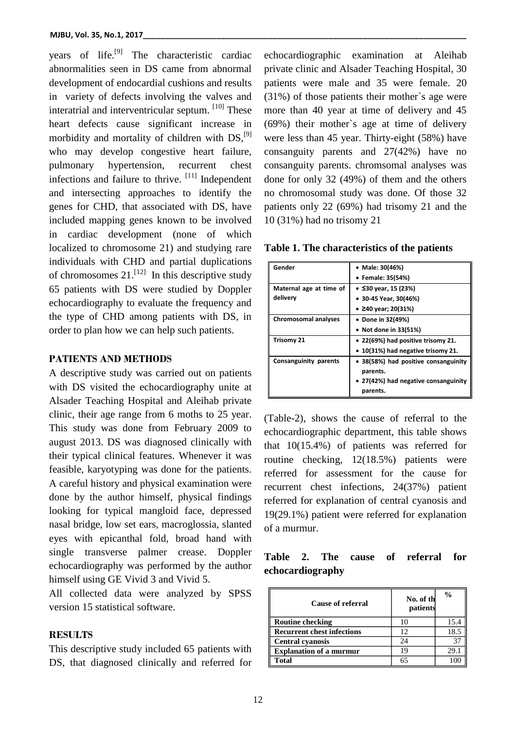years of life.<sup>[9]</sup> The characteristic cardiac abnormalities seen in DS came from abnormal development of endocardial cushions and results in variety of defects involving the valves and interatrial and interventricular septum. [10] These heart defects cause significant increase in morbidity and mortality of children with DS,<sup>[9]</sup> who may develop congestive heart failure, pulmonary hypertension, recurrent chest infections and failure to thrive.  $[11]$  Independent and intersecting approaches to identify the genes for CHD, that associated with DS, have included mapping genes known to be involved in cardiac development (none of which localized to chromosome 21) and studying rare individuals with CHD and partial duplications of chromosomes  $21$ .<sup>[12]</sup> In this descriptive study 65 patients with DS were studied by Doppler echocardiography to evaluate the frequency and the type of CHD among patients with DS, in order to plan how we can help such patients.

### **PATIENTS AND METHODS**

A descriptive study was carried out on patients with DS visited the echocardiography unite at Alsader Teaching Hospital and Aleihab private clinic, their age range from 6 moths to 25 year. This study was done from February 2009 to august 2013. DS was diagnosed clinically with their typical clinical features. Whenever it was feasible, karyotyping was done for the patients. A careful history and physical examination were done by the author himself, physical findings looking for typical mangloid face, depressed nasal bridge, low set ears, macroglossia, slanted eyes with epicanthal fold, broad hand with single transverse palmer crease. Doppler echocardiography was performed by the author himself using GE Vivid 3 and Vivid 5.

All collected data were analyzed by SPSS version 15 statistical software.

## **RESULTS**

This descriptive study included 65 patients with DS, that diagnosed clinically and referred for

echocardiographic examination at Aleihab private clinic and Alsader Teaching Hospital, 30 patients were male and 35 were female. 20 (31%) of those patients their mother`s age were more than 40 year at time of delivery and 45 (69%) their mother`s age at time of delivery were less than 45 year. Thirty-eight (58%) have consanguity parents and 27(42%) have no consanguity parents. chromsomal analyses was done for only 32 (49%) of them and the others no chromosomal study was done. Of those 32 patients only 22 (69%) had trisomy 21 and the 10 (31%) had no trisomy 21

**Table 1. The characteristics of the patients**

| Gender                  | • Male: 30(46%)                      |
|-------------------------|--------------------------------------|
|                         | • Female: 35(54%)                    |
| Maternal age at time of | • ≤30 year, 15 (23%)                 |
| delivery                | $\bullet$ 30-45 Year, 30(46%)        |
|                         | • $\geq$ 40 year; 20(31%)            |
| Chromosomal analyses    | Done in 32(49%)                      |
|                         | • Not done in 33(51%)                |
| Trisomy 21              | • 22(69%) had positive trisomy 21.   |
|                         | • 10(31%) had negative trisomy 21.   |
| Consanguinity parents   | • 38(58%) had positive consanguinity |
|                         | parents.                             |
|                         | • 27(42%) had negative consanguinity |
|                         | parents.                             |

(Table-2), shows the cause of referral to the echocardiographic department, this table shows that 10(15.4%) of patients was referred for routine checking, 12(18.5%) patients were referred for assessment for the cause for recurrent chest infections, 24(37%) patient referred for explanation of central cyanosis and 19(29.1%) patient were referred for explanation of a murmur.

# **Table 2. The cause of referral for echocardiography**

| Cause of referral                 | No. of the<br>patients | $\frac{0}{0}$ |
|-----------------------------------|------------------------|---------------|
| <b>Routine checking</b>           |                        | 15.4          |
| <b>Recurrent chest infections</b> | 12                     | 18.5          |
| <b>Central cyanosis</b>           | 24                     | 37            |
| <b>Explanation of a murmur</b>    | 19                     | 29.1          |
| Total                             |                        |               |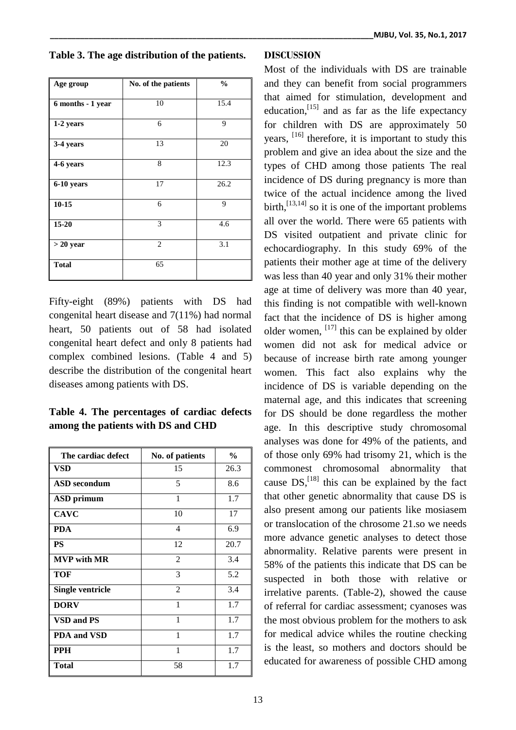|  | Table 3. The age distribution of the patients. |  |
|--|------------------------------------------------|--|
|  |                                                |  |

| Age group         | No. of the patients | $\frac{0}{0}$ |
|-------------------|---------------------|---------------|
|                   |                     |               |
| 6 months - 1 year | 10                  | 15.4          |
|                   |                     |               |
| 1-2 years         | 6                   | 9             |
|                   |                     |               |
| 3-4 years         | 13                  | 20            |
|                   |                     |               |
| 4-6 years         | 8                   | 12.3          |
|                   |                     |               |
| 6-10 years        | 17                  | 26.2          |
|                   |                     |               |
| $10-15$           | 6                   | 9             |
|                   |                     |               |
| $15 - 20$         | 3                   | 4.6           |
|                   |                     |               |
| $> 20$ year       | $\overline{2}$      | 3.1           |
|                   |                     |               |
| <b>Total</b>      | 65                  |               |
|                   |                     |               |
|                   |                     |               |

Fifty-eight (89%) patients with DS had congenital heart disease and 7(11%) had normal heart, 50 patients out of 58 had isolated congenital heart defect and only 8 patients had complex combined lesions. (Table 4 and 5) describe the distribution of the congenital heart diseases among patients with DS.

**Table 4. The percentages of cardiac defects among the patients with DS and CHD**

| The cardiac defect      | No. of patients          | $\%$ |
|-------------------------|--------------------------|------|
| VSD                     | 15                       | 26.3 |
| <b>ASD</b> secondum     | 5                        | 8.6  |
| <b>ASD</b> primum       | 1                        | 1.7  |
| <b>CAVC</b>             | 10                       | 17   |
| <b>PDA</b>              | $\overline{\mathcal{L}}$ | 6.9  |
| <b>PS</b>               | 12                       | 20.7 |
| <b>MVP</b> with MR      | $\overline{2}$           | 3.4  |
| <b>TOF</b>              | 3                        | 5.2  |
| <b>Single ventricle</b> | $\overline{2}$           | 3.4  |
| <b>DORV</b>             | 1                        | 1.7  |
| <b>VSD and PS</b>       | 1                        | 1.7  |
| <b>PDA and VSD</b>      | 1                        | 1.7  |
| <b>PPH</b>              | 1                        | 1.7  |
| <b>Total</b>            | 58                       | 1.7  |

# **DISCUSSION**

Most of the individuals with DS are trainable and they can benefit from social programmers that aimed for stimulation, development and education,  $\left[15\right]$  and as far as the life expectancy for children with DS are approximately 50 years, <sup>[16]</sup> therefore, it is important to study this problem and give an idea about the size and the types of CHD among those patients The real incidence of DS during pregnancy is more than twice of the actual incidence among the lived birth,  $\left[13,14\right]$  so it is one of the important problems all over the world. There were 65 patients with DS visited outpatient and private clinic for echocardiography. In this study 69% of the patients their mother age at time of the delivery was less than 40 year and only 31% their mother age at time of delivery was more than 40 year, this finding is not compatible with well-known fact that the incidence of DS is higher among older women,  $^{[17]}$  this can be explained by older women did not ask for medical advice or because of increase birth rate among younger women. This fact also explains why the incidence of DS is variable depending on the maternal age, and this indicates that screening for DS should be done regardless the mother age. In this descriptive study chromosomal analyses was done for 49% of the patients, and of those only 69% had trisomy 21, which is the commonest chromosomal abnormality that cause  $DS$ ,  $^{[18]}$  this can be explained by the fact that other genetic abnormality that cause DS is also present among our patients like mosiasem or translocation of the chrosome 21.so we needs more advance genetic analyses to detect those abnormality. Relative parents were present in 58% of the patients this indicate that DS can be suspected in both those with relative or irrelative parents. (Table-2), showed the cause of referral for cardiac assessment; cyanoses was the most obvious problem for the mothers to ask for medical advice whiles the routine checking is the least, so mothers and doctors should be educated for awareness of possible CHD among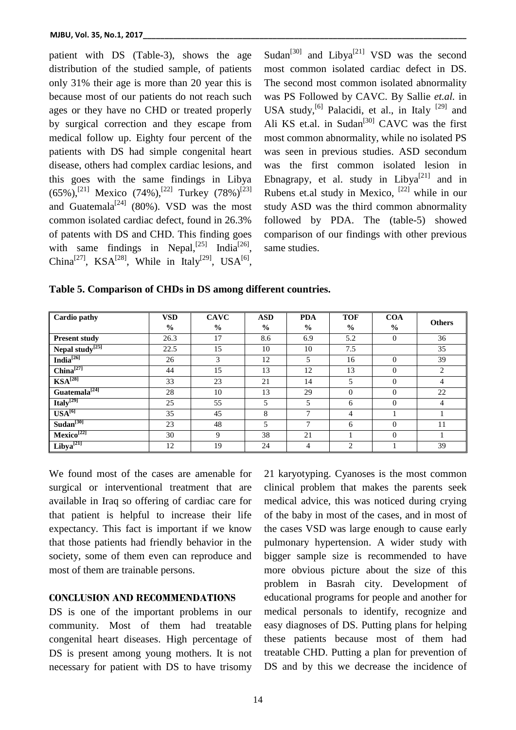patient with DS (Table-3), shows the age distribution of the studied sample, of patients only 31% their age is more than 20 year this is because most of our patients do not reach such ages or they have no CHD or treated properly by surgical correction and they escape from medical follow up. Eighty four percent of the patients with DS had simple congenital heart disease, others had complex cardiac lesions, and this goes with the same findings in Libya  $(65\%)$ ,<sup>[21]</sup> Mexico  $(74\%)$ ,<sup>[22]</sup> Turkey  $(78\%)$ <sup>[23]</sup> and Guatemala<sup>[24]</sup> (80%). VSD was the most common isolated cardiac defect, found in 26.3% of patents with DS and CHD. This finding goes with same findings in Nepal,<sup>[25]</sup> India<sup>[26]</sup>, China<sup>[27]</sup>, KSA<sup>[28]</sup>, While in Italy<sup>[29]</sup>, USA<sup>[6]</sup>,

Sudan<sup>[30]</sup> and Libya<sup>[21]</sup> VSD was the second most common isolated cardiac defect in DS. The second most common isolated abnormality was PS Followed by CAVC. By Sallie *et.al.* in USA study,<sup>[6]</sup> Palacidi, et al., in Italy<sup>[29]</sup> and Ali KS et.al. in Sudan<sup>[30]</sup> CAVC was the first most common abnormality, while no isolated PS was seen in previous studies. ASD secondum was the first common isolated lesion in Ebnagrapy, et al. study in Libya<sup>[21]</sup> and in Rubens et.al study in Mexico,  $[22]$  while in our study ASD was the third common abnormality followed by PDA. The (table-5) showed comparison of our findings with other previous same studies.

| Table 5. Comparison of CHDs in DS among different countries. |  |  |
|--------------------------------------------------------------|--|--|
|                                                              |  |  |

| <b>Cardio pathy</b>                    | <b>VSD</b>    | <b>CAVC</b> | <b>ASD</b>    | <b>PDA</b>    | <b>TOF</b>    | <b>COA</b>     | <b>Others</b> |
|----------------------------------------|---------------|-------------|---------------|---------------|---------------|----------------|---------------|
|                                        | $\frac{0}{0}$ | $\%$        | $\frac{0}{0}$ | $\frac{0}{0}$ | $\frac{0}{0}$ | $\frac{6}{6}$  |               |
| <b>Present study</b>                   | 26.3          | 17          | 8.6           | 6.9           | 5.2           | $\mathbf{0}$   | 36            |
| Nepal $\overline{\text{study}^{[25]}}$ | 22.5          | 15          | 10            | 10            | 7.5           |                | 35            |
| India <sup>[26]</sup>                  | 26            | 3           | 12            | 5             | 16            | $\Omega$       | 39            |
| China <sup>[27]</sup>                  | 44            | 15          | 13            | 12            | 13            | $\Omega$       | 2             |
| $\text{KSA}^{[28]}$                    | 33            | 23          | 21            | 14            | 5             | $\Omega$       | 4             |
| $Guaternala^{[24]}$                    | 28            | 10          | 13            | 29            | $\mathbf{0}$  | $\mathbf{0}$   | 22            |
| Italy <sup>[29]</sup>                  | 25            | 55          | 5             | 5             | 6             | $\overline{0}$ | 4             |
| $USA^{[6]}$                            | 35            | 45          | 8             | $\mathbf{r}$  | 4             |                |               |
| Sudan <sup>[30]</sup>                  | 23            | 48          | 5             | $\mathcal{I}$ | 6             | $\Omega$       | 11            |
| Mexico <sup>[22]</sup>                 | 30            | 9           | 38            | 21            |               | $\Omega$       |               |
| Libya <sup>[21]</sup>                  | 12            | 19          | 24            | 4             | 2             |                | 39            |

We found most of the cases are amenable for surgical or interventional treatment that are available in Iraq so offering of cardiac care for that patient is helpful to increase their life expectancy. This fact is important if we know that those patients had friendly behavior in the society, some of them even can reproduce and most of them are trainable persons.

## **CONCLUSION AND RECOMMENDATIONS**

DS is one of the important problems in our community. Most of them had treatable congenital heart diseases. High percentage of DS is present among young mothers. It is not necessary for patient with DS to have trisomy 21 karyotyping. Cyanoses is the most common clinical problem that makes the parents seek medical advice, this was noticed during crying of the baby in most of the cases, and in most of the cases VSD was large enough to cause early pulmonary hypertension. A wider study with bigger sample size is recommended to have more obvious picture about the size of this problem in Basrah city. Development of educational programs for people and another for medical personals to identify, recognize and easy diagnoses of DS. Putting plans for helping these patients because most of them had treatable CHD. Putting a plan for prevention of DS and by this we decrease the incidence of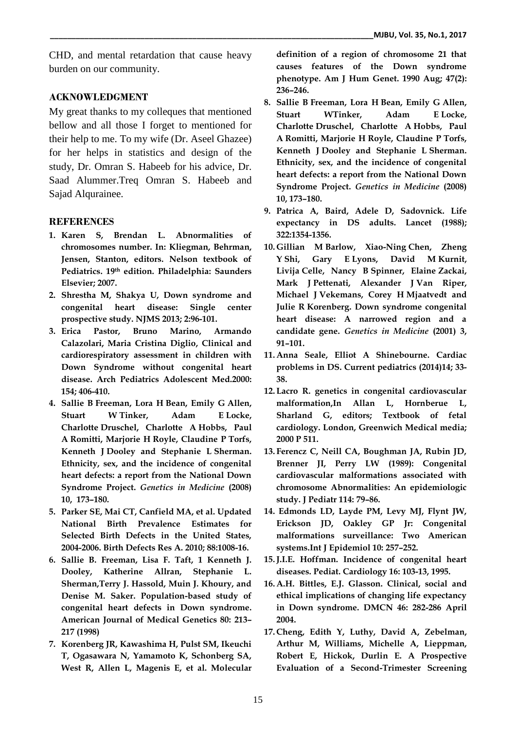CHD, and mental retardation that cause heavy burden on our community.

# **ACKNOWLEDGMENT**

My great thanks to my colleques that mentioned bellow and all those I forget to mentioned for their help to me. To my wife (Dr. Aseel Ghazee) for her helps in statistics and design of the study, Dr. Omran S. Habeeb for his advice, Dr. Saad Alummer.Treq Omran S. Habeeb and Sajad Alqurainee.

# **REFERENCES**

- **1. Karen S, Brendan L. Abnormalities of chromosomes number. In: Kliegman, Behrman, Jensen, Stanton, editors. Nelson textbook of Pediatrics. 19 th edition. Philadelphia: Saunders Elsevier; 2007.**
- **2. Shrestha M, Shakya U, Down syndrome and congenital heart disease: Single center prospective study. NJMS 2013; 2:96-101.**
- **3. Erica Pastor, Bruno Marino, Armando Calazolari, Maria Cristina Diglio, Clinical and cardiorespiratory assessment in children with Down Syndrome without congenital heart disease. Arch Pediatrics Adolescent Med.2000: 154; 406-410.**
- **4. Sallie B Freeman, Lora H Bean, Emily G Allen, Stuart W Tinker, Adam E Locke, Charlotte Druschel, Charlotte A Hobbs, Paul A Romitti, Marjorie H Royle, Claudine P Torfs, Kenneth J Dooley and Stephanie L Sherman. Ethnicity, sex, and the incidence of congenital heart defects: a report from the National Down Syndrome Project.** *Genetics in Medicine* **(2008) 10, 173–180.**
- **5. Parker SE, Mai CT, Canfield MA, et al. Updated National Birth Prevalence Estimates for Selected Birth Defects in the United States, 2004-2006. Birth Defects Res A. 2010; 88:1008-16.**
- **6. Sallie B. Freeman, Lisa F. Taft, 1 Kenneth J. Dooley, Katherine Allran, Stephanie L. Sherman,Terry J. Hassold, Muin J. Khoury, and Denise M. Saker. Population-based study of congenital heart defects in Down syndrome. American Journal of Medical Genetics 80: 213– 217 (1998)**
- **7. Korenberg JR, Kawashima H, Pulst SM, Ikeuchi T, Ogasawara N, Yamamoto K, Schonberg SA, West R, Allen L, Magenis E, et al. Molecular**

**definition of a region of chromosome 21 that causes features of the Down syndrome phenotype. Am J Hum Genet. 1990 Aug; 47(2): 236–246.**

- **8. Sallie B Freeman, Lora H Bean, Emily G Allen, Stuart WTinker, Adam E Locke, Charlotte Druschel, Charlotte A Hobbs, Paul A Romitti, Marjorie H Royle, Claudine P Torfs, Kenneth J Dooley and Stephanie L Sherman. Ethnicity, sex, and the incidence of congenital heart defects: a report from the National Down Syndrome Project.** *Genetics in Medicine* **(2008) 10, 173–180.**
- **9. Patrica A, Baird, Adele D, Sadovnick. Life expectancy in DS adults. Lancet (1988); 322:1354-1356.**
- **10. Gillian M Barlow, Xiao-Ning Chen, Zheng Y Shi, Gary E Lyons, David M Kurnit, Livija Celle, Nancy B Spinner, Elaine Zackai, Mark J Pettenati, Alexander J Van Riper, Michael J Vekemans, Corey H Mjaatvedt and Julie R Korenberg. Down syndrome congenital heart disease: A narrowed region and a candidate gene.** *Genetics in Medicine* **(2001) 3, 91–101.**
- **11. Anna Seale, Elliot A Shinebourne. Cardiac problems in DS. Current pediatrics (2014)14; 33- 38.**
- **12. Lacro R. genetics in congenital cardiovascular malformation,In Allan L, Hornberue L, Sharland G, editors; Textbook of fetal cardiology. London, Greenwich Medical media; 2000 P 511.**
- **13. Ferencz C, Neill CA, Boughman JA, Rubin JD, Brenner JI, Perry LW (1989): Congenital cardiovascular malformations associated with chromosome Abnormalities: An epidemiologic study. J Pediatr 114: 79–86.**
- **14. Edmonds LD, Layde PM, Levy MJ, Flynt JW, Erickson JD, Oakley GP Jr: Congenital malformations surveillance: Two American systems.Int J Epidemiol 10: 257–252.**
- **15.J.I.E. Hoffman. Incidence of congenital heart diseases. Pediat. Cardiology 16: 103-13, 1995.**
- **16. A.H. Bittles, E.J. Glasson. Clinical, social and ethical implications of changing life expectancy in Down syndrome. DMCN 46: 282-286 April 2004.**
- **17. Cheng, Edith Y, Luthy, David A, Zebelman, Arthur M, Williams, Michelle A, Lieppman, Robert E, Hickok, Durlin E. A Prospective Evaluation of a Second-Trimester Screening**